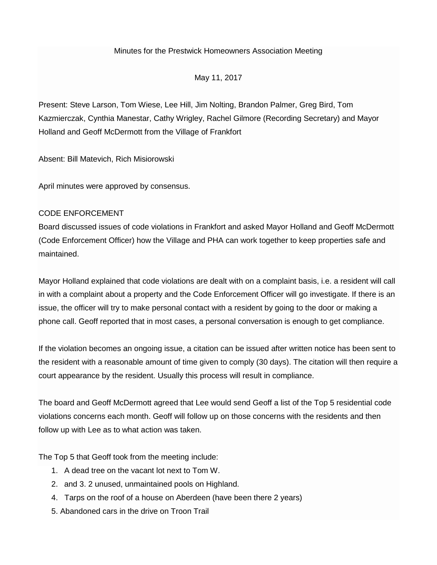### Minutes for the Prestwick Homeowners Association Meeting

May 11, 2017

Present: Steve Larson, Tom Wiese, Lee Hill, Jim Nolting, Brandon Palmer, Greg Bird, Tom Kazmierczak, Cynthia Manestar, Cathy Wrigley, Rachel Gilmore (Recording Secretary) and Mayor Holland and Geoff McDermott from the Village of Frankfort

Absent: Bill Matevich, Rich Misiorowski

April minutes were approved by consensus.

## CODE ENFORCEMENT

Board discussed issues of code violations in Frankfort and asked Mayor Holland and Geoff McDermott (Code Enforcement Officer) how the Village and PHA can work together to keep properties safe and maintained.

Mayor Holland explained that code violations are dealt with on a complaint basis, i.e. a resident will call in with a complaint about a property and the Code Enforcement Officer will go investigate. If there is an issue, the officer will try to make personal contact with a resident by going to the door or making a phone call. Geoff reported that in most cases, a personal conversation is enough to get compliance.

If the violation becomes an ongoing issue, a citation can be issued after written notice has been sent to the resident with a reasonable amount of time given to comply (30 days). The citation will then require a court appearance by the resident. Usually this process will result in compliance.

The board and Geoff McDermott agreed that Lee would send Geoff a list of the Top 5 residential code violations concerns each month. Geoff will follow up on those concerns with the residents and then follow up with Lee as to what action was taken.

The Top 5 that Geoff took from the meeting include:

- 1. A dead tree on the vacant lot next to Tom W.
- 2. and 3. 2 unused, unmaintained pools on Highland.
- 4. Tarps on the roof of a house on Aberdeen (have been there 2 years)
- 5. Abandoned cars in the drive on Troon Trail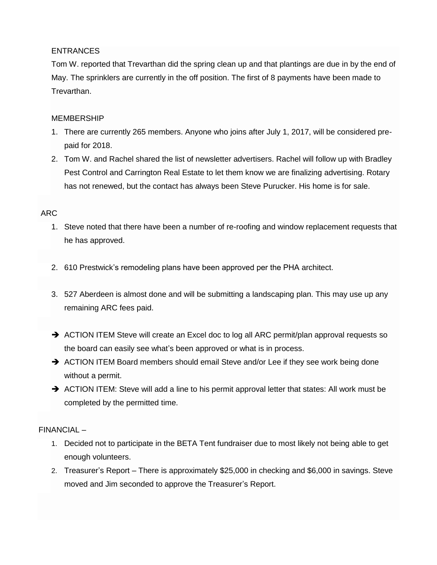# ENTRANCES

Tom W. reported that Trevarthan did the spring clean up and that plantings are due in by the end of May. The sprinklers are currently in the off position. The first of 8 payments have been made to Trevarthan.

## MEMBERSHIP

- 1. There are currently 265 members. Anyone who joins after July 1, 2017, will be considered prepaid for 2018.
- 2. Tom W. and Rachel shared the list of newsletter advertisers. Rachel will follow up with Bradley Pest Control and Carrington Real Estate to let them know we are finalizing advertising. Rotary has not renewed, but the contact has always been Steve Purucker. His home is for sale.

## ARC

- 1. Steve noted that there have been a number of re-roofing and window replacement requests that he has approved.
- 2. 610 Prestwick's remodeling plans have been approved per the PHA architect.
- 3. 527 Aberdeen is almost done and will be submitting a landscaping plan. This may use up any remaining ARC fees paid.
- $\rightarrow$  ACTION ITEM Steve will create an Excel doc to log all ARC permit/plan approval requests so the board can easily see what's been approved or what is in process.
- $\rightarrow$  ACTION ITEM Board members should email Steve and/or Lee if they see work being done without a permit.
- $\rightarrow$  ACTION ITEM: Steve will add a line to his permit approval letter that states: All work must be completed by the permitted time.

# FINANCIAL –

- 1. Decided not to participate in the BETA Tent fundraiser due to most likely not being able to get enough volunteers.
- 2. Treasurer's Report There is approximately \$25,000 in checking and \$6,000 in savings. Steve moved and Jim seconded to approve the Treasurer's Report.